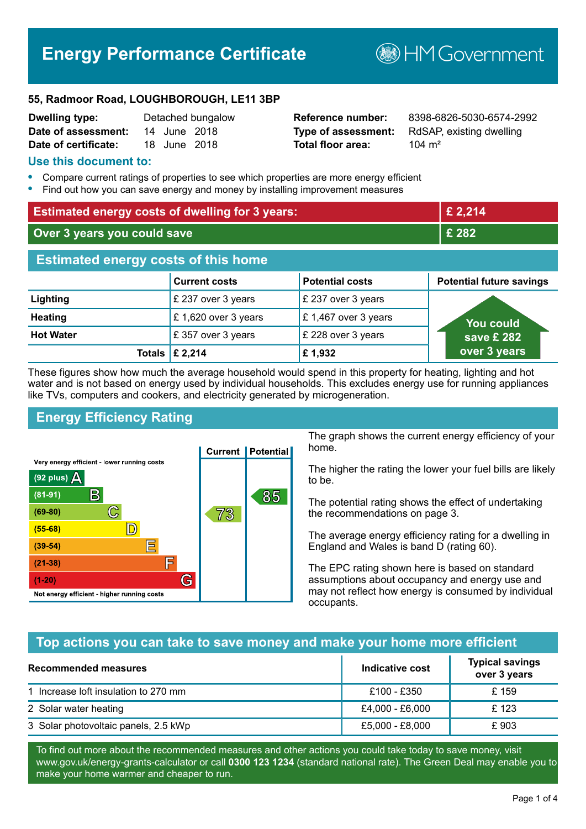# **Energy Performance Certificate**

**B**HMGovernment

#### **55, Radmoor Road, LOUGHBOROUGH, LE11 3BP**

| <b>Dwelling type:</b> |              | Detached bungalow |
|-----------------------|--------------|-------------------|
| Date of assessment:   | 14 June 2018 |                   |
| Date of certificate:  | 18 June 2018 |                   |

# **Total floor area:** 104 m<sup>2</sup>

**Reference number:** 8398-6826-5030-6574-2992 **Type of assessment:** RdSAP, existing dwelling

#### **Use this document to:**

- **•** Compare current ratings of properties to see which properties are more energy efficient
- **•** Find out how you can save energy and money by installing improvement measures

| <b>Estimated energy costs of dwelling for 3 years:</b> |                      |                        | £ 2,214                         |
|--------------------------------------------------------|----------------------|------------------------|---------------------------------|
| Over 3 years you could save                            |                      | £ 282                  |                                 |
| <b>Estimated energy costs of this home</b>             |                      |                        |                                 |
|                                                        | <b>Current costs</b> | <b>Potential costs</b> | <b>Potential future savings</b> |
| Lighting                                               | £ 237 over 3 years   | £ 237 over 3 years     |                                 |
| <b>Heating</b>                                         | £1,620 over 3 years  | £1,467 over 3 years    | You could                       |
| <b>Hot Water</b>                                       | £357 over 3 years    | £ 228 over 3 years     | save £ 282                      |
| <b>Totals</b>                                          | £ 2,214              | £1,932                 | over 3 years                    |

These figures show how much the average household would spend in this property for heating, lighting and hot water and is not based on energy used by individual households. This excludes energy use for running appliances like TVs, computers and cookers, and electricity generated by microgeneration.

# **Energy Efficiency Rating**



The graph shows the current energy efficiency of your home.

The higher the rating the lower your fuel bills are likely to be.

The potential rating shows the effect of undertaking the recommendations on page 3.

The average energy efficiency rating for a dwelling in England and Wales is band D (rating 60).

The EPC rating shown here is based on standard assumptions about occupancy and energy use and may not reflect how energy is consumed by individual occupants.

# **Top actions you can take to save money and make your home more efficient**

| Recommended measures                 | Indicative cost | <b>Typical savings</b><br>over 3 years |
|--------------------------------------|-----------------|----------------------------------------|
| 1 Increase loft insulation to 270 mm | £100 - £350     | £ 159                                  |
| 2 Solar water heating                | £4,000 - £6,000 | £123                                   |
| 3 Solar photovoltaic panels, 2.5 kWp | £5,000 - £8,000 | £903                                   |

To find out more about the recommended measures and other actions you could take today to save money, visit www.gov.uk/energy-grants-calculator or call **0300 123 1234** (standard national rate). The Green Deal may enable you to make your home warmer and cheaper to run.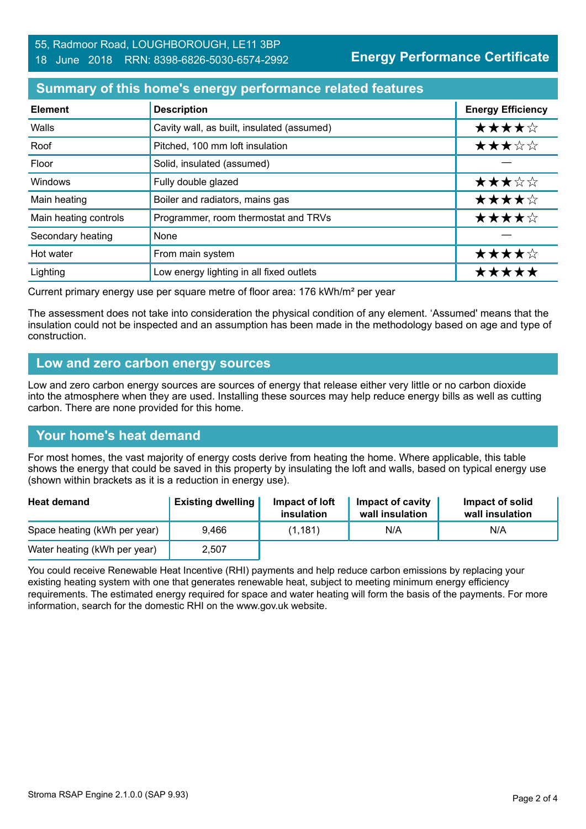### **Summary of this home's energy performance related features**

| <b>Element</b>        | <b>Description</b>                         | <b>Energy Efficiency</b> |
|-----------------------|--------------------------------------------|--------------------------|
| Walls                 | Cavity wall, as built, insulated (assumed) | ★★★★☆                    |
| Roof                  | Pitched, 100 mm loft insulation            | ★★★☆☆                    |
| Floor                 | Solid, insulated (assumed)                 |                          |
| Windows               | Fully double glazed                        | ★★★☆☆                    |
| Main heating          | Boiler and radiators, mains gas            | ★★★★☆                    |
| Main heating controls | Programmer, room thermostat and TRVs       | ★★★★☆                    |
| Secondary heating     | None                                       |                          |
| Hot water             | From main system                           | ★★★★☆                    |
| Lighting              | Low energy lighting in all fixed outlets   | *****                    |

Current primary energy use per square metre of floor area: 176 kWh/m² per year

The assessment does not take into consideration the physical condition of any element. 'Assumed' means that the insulation could not be inspected and an assumption has been made in the methodology based on age and type of construction.

#### **Low and zero carbon energy sources**

Low and zero carbon energy sources are sources of energy that release either very little or no carbon dioxide into the atmosphere when they are used. Installing these sources may help reduce energy bills as well as cutting carbon. There are none provided for this home.

#### **Your home's heat demand**

For most homes, the vast majority of energy costs derive from heating the home. Where applicable, this table shows the energy that could be saved in this property by insulating the loft and walls, based on typical energy use (shown within brackets as it is a reduction in energy use).

| <b>Heat demand</b>           | <b>Existing dwelling</b> | Impact of loft<br>insulation | Impact of cavity<br>wall insulation | Impact of solid<br>wall insulation |
|------------------------------|--------------------------|------------------------------|-------------------------------------|------------------------------------|
| Space heating (kWh per year) | 9.466                    | (1, 181)                     | N/A                                 | N/A                                |
| Water heating (kWh per year) | 2,507                    |                              |                                     |                                    |

You could receive Renewable Heat Incentive (RHI) payments and help reduce carbon emissions by replacing your existing heating system with one that generates renewable heat, subject to meeting minimum energy efficiency requirements. The estimated energy required for space and water heating will form the basis of the payments. For more information, search for the domestic RHI on the www.gov.uk website.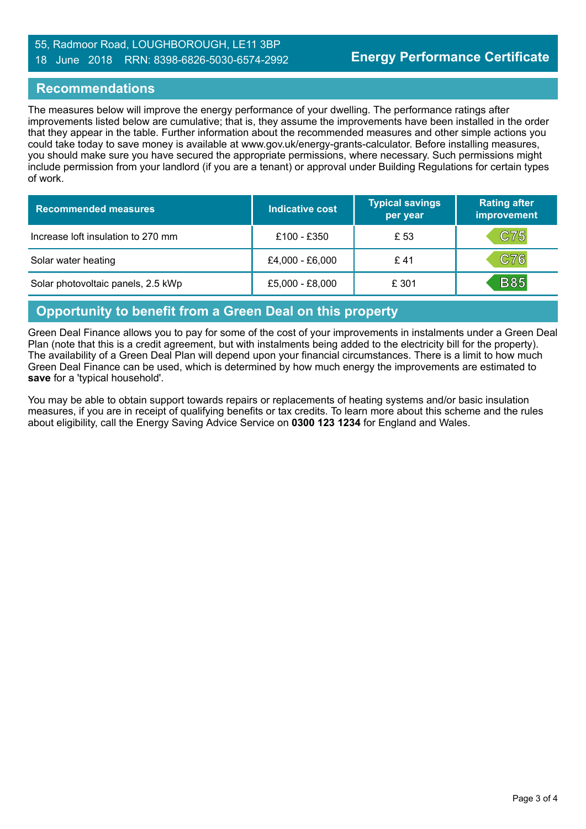#### 55, Radmoor Road, LOUGHBOROUGH, LE11 3BP 18 June 2018 RRN: 8398-6826-5030-6574-2992

#### **Recommendations**

The measures below will improve the energy performance of your dwelling. The performance ratings after improvements listed below are cumulative; that is, they assume the improvements have been installed in the order that they appear in the table. Further information about the recommended measures and other simple actions you could take today to save money is available at www.gov.uk/energy-grants-calculator. Before installing measures, you should make sure you have secured the appropriate permissions, where necessary. Such permissions might include permission from your landlord (if you are a tenant) or approval under Building Regulations for certain types of work.

| <b>Recommended measures</b>        | Indicative cost | <b>Typical savings</b><br>per year | <b>Rating after</b><br>improvement |
|------------------------------------|-----------------|------------------------------------|------------------------------------|
| Increase loft insulation to 270 mm | £100 - £350     | £ 53                               | C75                                |
| Solar water heating                | £4,000 - £6,000 | £ 41                               | C76                                |
| Solar photovoltaic panels, 2.5 kWp | £5,000 - £8,000 | £ 301                              | <b>B85</b>                         |

#### **Opportunity to benefit from a Green Deal on this property**

Green Deal Finance allows you to pay for some of the cost of your improvements in instalments under a Green Deal Plan (note that this is a credit agreement, but with instalments being added to the electricity bill for the property). The availability of a Green Deal Plan will depend upon your financial circumstances. There is a limit to how much Green Deal Finance can be used, which is determined by how much energy the improvements are estimated to **save** for a 'typical household'.

You may be able to obtain support towards repairs or replacements of heating systems and/or basic insulation measures, if you are in receipt of qualifying benefits or tax credits. To learn more about this scheme and the rules about eligibility, call the Energy Saving Advice Service on **0300 123 1234** for England and Wales.